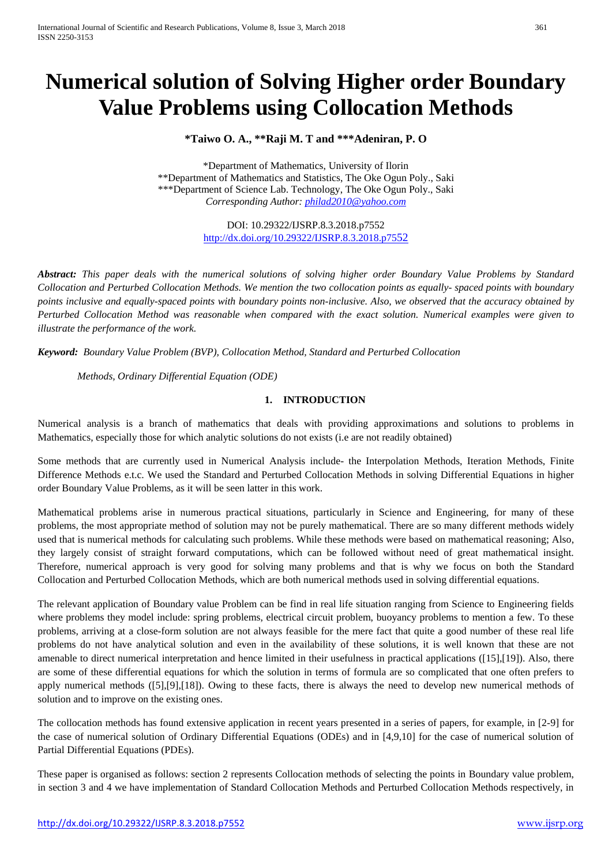# **Numerical solution of Solving Higher order Boundary Value Problems using Collocation Methods**

**\*Taiwo O. A., \*\*Raji M. T and \*\*\*Adeniran, P. O**

\*Department of Mathematics, University of Ilorin \*\*Department of Mathematics and Statistics, The Oke Ogun Poly., Saki \*\*\*Department of Science Lab. Technology, The Oke Ogun Poly., Saki *Corresponding Author: [philad2010@yahoo.com](mailto:philad2010@yahoo.com)*

> DOI: 10.29322/IJSRP.8.3.2018.p7552 <http://dx.doi.org/10.29322/IJSRP.8.3.2018.p7552>

*Abstract: This paper deals with the numerical solutions of solving higher order Boundary Value Problems by Standard Collocation and Perturbed Collocation Methods. We mention the two collocation points as equally- spaced points with boundary points inclusive and equally-spaced points with boundary points non-inclusive. Also, we observed that the accuracy obtained by Perturbed Collocation Method was reasonable when compared with the exact solution. Numerical examples were given to illustrate the performance of the work.*

*Keyword: Boundary Value Problem (BVP), Collocation Method, Standard and Perturbed Collocation*

*Methods, Ordinary Differential Equation (ODE)*

# **1. INTRODUCTION**

Numerical analysis is a branch of mathematics that deals with providing approximations and solutions to problems in Mathematics, especially those for which analytic solutions do not exists (i.e are not readily obtained)

Some methods that are currently used in Numerical Analysis include- the Interpolation Methods, Iteration Methods, Finite Difference Methods e.t.c. We used the Standard and Perturbed Collocation Methods in solving Differential Equations in higher order Boundary Value Problems, as it will be seen latter in this work.

Mathematical problems arise in numerous practical situations, particularly in Science and Engineering, for many of these problems, the most appropriate method of solution may not be purely mathematical. There are so many different methods widely used that is numerical methods for calculating such problems. While these methods were based on mathematical reasoning; Also, they largely consist of straight forward computations, which can be followed without need of great mathematical insight. Therefore, numerical approach is very good for solving many problems and that is why we focus on both the Standard Collocation and Perturbed Collocation Methods, which are both numerical methods used in solving differential equations.

The relevant application of Boundary value Problem can be find in real life situation ranging from Science to Engineering fields where problems they model include: spring problems, electrical circuit problem, buoyancy problems to mention a few. To these problems, arriving at a close-form solution are not always feasible for the mere fact that quite a good number of these real life problems do not have analytical solution and even in the availability of these solutions, it is well known that these are not amenable to direct numerical interpretation and hence limited in their usefulness in practical applications ([15],[19]). Also, there are some of these differential equations for which the solution in terms of formula are so complicated that one often prefers to apply numerical methods ([5],[9],[18]). Owing to these facts, there is always the need to develop new numerical methods of solution and to improve on the existing ones.

The collocation methods has found extensive application in recent years presented in a series of papers, for example, in [2-9] for the case of numerical solution of Ordinary Differential Equations (ODEs) and in [4,9,10] for the case of numerical solution of Partial Differential Equations (PDEs).

These paper is organised as follows: section 2 represents Collocation methods of selecting the points in Boundary value problem, in section 3 and 4 we have implementation of Standard Collocation Methods and Perturbed Collocation Methods respectively, in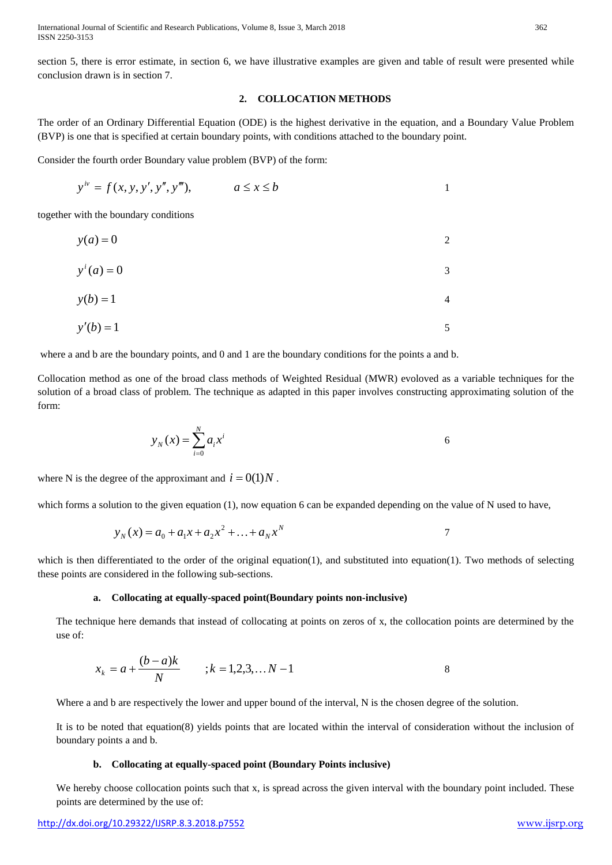International Journal of Scientific and Research Publications, Volume 8, Issue 3, March 2018 362 ISSN 2250-3153

section 5, there is error estimate, in section 6, we have illustrative examples are given and table of result were presented while conclusion drawn is in section 7.

## **2. COLLOCATION METHODS**

The order of an Ordinary Differential Equation (ODE) is the highest derivative in the equation, and a Boundary Value Problem (BVP) is one that is specified at certain boundary points, with conditions attached to the boundary point.

Consider the fourth order Boundary value problem (BVP) of the form:

$$
y^{iv} = f(x, y, y', y'', y'''), \qquad a \le x \le b
$$

together with the boundary conditions

| $y(a) = 0$     | 2 |
|----------------|---|
| $y^{i}(a) = 0$ | 3 |
| $y(b) = 1$     | 4 |
| $y'(b) = 1$    |   |

where a and b are the boundary points, and 0 and 1 are the boundary conditions for the points a and b.

Collocation method as one of the broad class methods of Weighted Residual (MWR) evoloved as a variable techniques for the solution of a broad class of problem. The technique as adapted in this paper involves constructing approximating solution of the form:

$$
y_N(x) = \sum_{i=0}^N a_i x^i
$$
6

where N is the degree of the approximant and  $i = 0(1)N$ .

which forms a solution to the given equation (1), now equation 6 can be expanded depending on the value of N used to have,

$$
y_N(x) = a_0 + a_1 x + a_2 x^2 + \dots + a_N x^N
$$

which is then differentiated to the order of the original equation(1), and substituted into equation(1). Two methods of selecting these points are considered in the following sub-sections.

#### **a. Collocating at equally-spaced point(Boundary points non-inclusive)**

The technique here demands that instead of collocating at points on zeros of x, the collocation points are determined by the use of:

$$
x_k = a + \frac{(b-a)k}{N} \qquad ; k = 1, 2, 3, \dots N - 1
$$

Where a and b are respectively the lower and upper bound of the interval, N is the chosen degree of the solution.

It is to be noted that equation(8) yields points that are located within the interval of consideration without the inclusion of boundary points a and b.

## **b. Collocating at equally-spaced point (Boundary Points inclusive)**

We hereby choose collocation points such that x, is spread across the given interval with the boundary point included. These points are determined by the use of: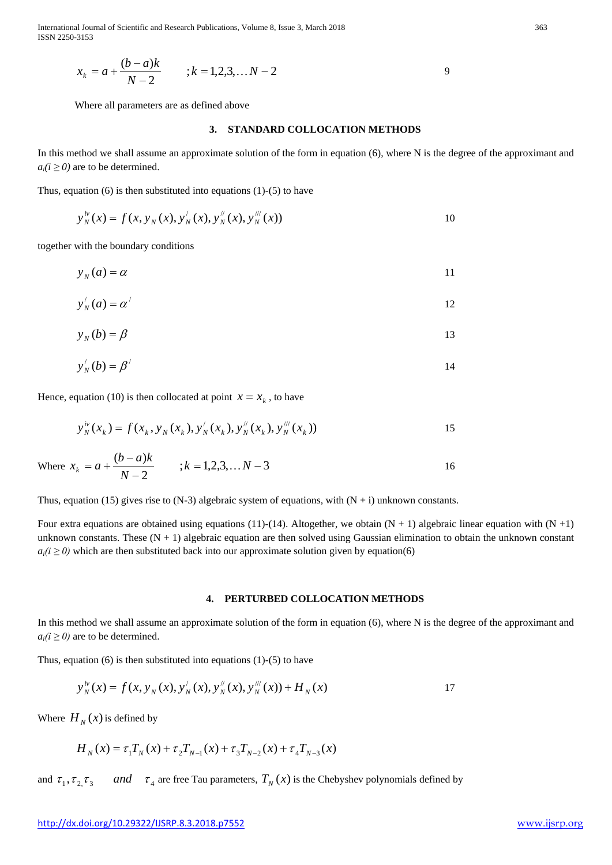International Journal of Scientific and Research Publications, Volume 8, Issue 3, March 2018 363 ISSN 2250-3153

$$
x_k = a + \frac{(b-a)k}{N-2} \qquad ; k = 1, 2, 3, \dots N-2
$$

Where all parameters are as defined above

## **3. STANDARD COLLOCATION METHODS**

In this method we shall assume an approximate solution of the form in equation (6), where N is the degree of the approximant and  $a_i(i \geq 0)$  are to be determined.

Thus, equation  $(6)$  is then substituted into equations  $(1)-(5)$  to have

$$
y_N^{iv}(x) = f(x, y_N(x), y_N'(x), y_N''(x), y_N'''(x))
$$

together with the boundary conditions

 $y_N(a) = \alpha$  11

$$
y'_{N}(a) = \alpha'
$$

$$
y_N(b) = \beta \tag{13}
$$

$$
y'_{N}(b) = \beta'
$$

Hence, equation (10) is then collocated at point  $x = x_k$ , to have

$$
y_N^{iv}(x_k) = f(x_k, y_N(x_k), y_N'(x_k), y_N''(x_k), y_N'''(x_k))
$$

Where 
$$
x_k = a + \frac{(b-a)k}{N-2}
$$
 ;  $k = 1, 2, 3, \dots N-3$  16

Thus, equation (15) gives rise to  $(N-3)$  algebraic system of equations, with  $(N + i)$  unknown constants.

Four extra equations are obtained using equations (11)-(14). Altogether, we obtain  $(N + 1)$  algebraic linear equation with  $(N + 1)$ unknown constants. These  $(N + 1)$  algebraic equation are then solved using Gaussian elimination to obtain the unknown constant  $a_i(i \ge 0)$  which are then substituted back into our approximate solution given by equation(6)

#### **4. PERTURBED COLLOCATION METHODS**

In this method we shall assume an approximate solution of the form in equation (6), where N is the degree of the approximant and  $a_i(i \geq 0)$  are to be determined.

Thus, equation  $(6)$  is then substituted into equations  $(1)-(5)$  to have

$$
y_N^{\nu}(x) = f(x, y_N(x), y_N'(x), y_N''(x), y_N'''(x)) + H_N(x)
$$

Where  $H_N(x)$  is defined by

$$
H_N(x) = \tau_1 T_N(x) + \tau_2 T_{N-1}(x) + \tau_3 T_{N-2}(x) + \tau_4 T_{N-3}(x)
$$

and  $\tau_1, \tau_2, \tau_3$  and  $\tau_4$  are free Tau parameters,  $T_N(x)$  is the Chebyshev polynomials defined by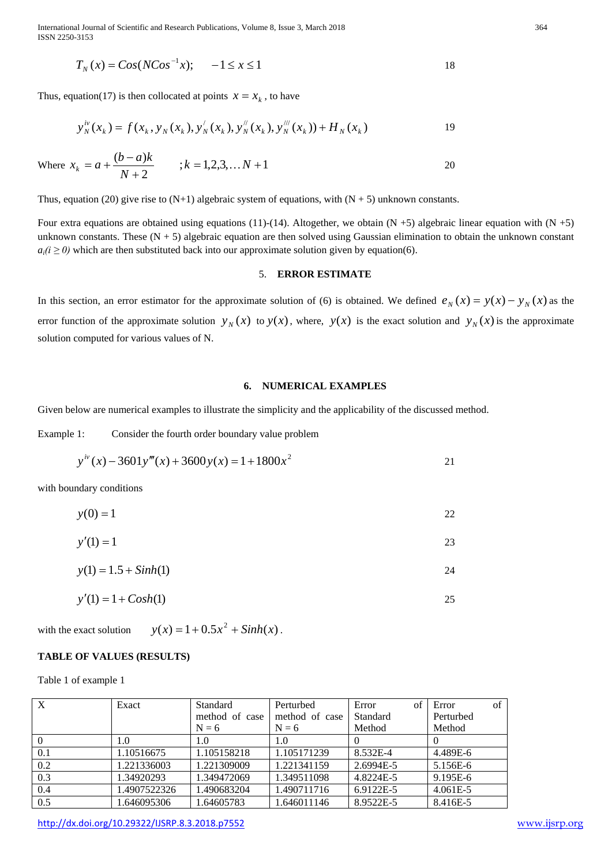International Journal of Scientific and Research Publications, Volume 8, Issue 3, March 2018 364 ISSN 2250-3153

$$
T_N(x) = \cos(N\cos^{-1}x); \quad -1 \le x \le 1
$$

Thus, equation(17) is then collocated at points  $x = x_k$ , to have

$$
y_N^{iv}(x_k) = f(x_k, y_N(x_k), y_N'(x_k), y_N''(x_k), y_N'''(x_k)) + H_N(x_k)
$$

Where 
$$
x_k = a + \frac{(b-a)k}{N+2}
$$
 ;  $k = 1, 2, 3, \dots N + 1$  20

Thus, equation (20) give rise to  $(N+1)$  algebraic system of equations, with  $(N + 5)$  unknown constants.

Four extra equations are obtained using equations (11)-(14). Altogether, we obtain (N +5) algebraic linear equation with (N +5) unknown constants. These  $(N + 5)$  algebraic equation are then solved using Gaussian elimination to obtain the unknown constant  $a_i(i \geq 0)$  which are then substituted back into our approximate solution given by equation(6).

#### 5. **ERROR ESTIMATE**

In this section, an error estimator for the approximate solution of (6) is obtained. We defined  $e_N(x) = y(x) - y_N(x)$  as the error function of the approximate solution  $y_N(x)$  to  $y(x)$ , where,  $y(x)$  is the exact solution and  $y_N(x)$  is the approximate solution computed for various values of N.

## **6. NUMERICAL EXAMPLES**

Given below are numerical examples to illustrate the simplicity and the applicability of the discussed method.

Example 1: Consider the fourth order boundary value problem

$$
y^{iv}(x) - 3601y'''(x) + 3600y(x) = 1 + 1800x^2
$$

with boundary conditions

| $y(0) = 1$  | 22 |
|-------------|----|
| $y'(1) = 1$ | 23 |

$$
y(1) = 1.5 + Sinh(1)
$$

$$
y'(1) = 1 + \cosh(1) \tag{25}
$$

with the exact solution  $y(x) = 1 + 0.5x^2 + Sinh(x)$ .

## **TABLE OF VALUES (RESULTS)**

Table 1 of example 1

| $\boldsymbol{\mathrm{X}}$ | Exact        | Standard       | Perturbed      | of<br>Error | of<br>Error  |
|---------------------------|--------------|----------------|----------------|-------------|--------------|
|                           |              | method of case | method of case | Standard    | Perturbed    |
|                           |              | $N = 6$        | $N = 6$        | Method      | Method       |
|                           | 1.0          | 1.0            | 1.0            |             |              |
| 0.1                       | 1.10516675   | 1.105158218    | 1.105171239    | 8.532E-4    | 4.489E-6     |
| 0.2                       | 1.221336003  | 1.221309009    | 1.221341159    | 2.6994E-5   | 5.156E-6     |
| 0.3                       | 1.34920293   | 1.349472069    | 1.349511098    | 4.8224E-5   | 9.195E-6     |
| 0.4                       | 1.4907522326 | 1.490683204    | 1.490711716    | 6.9122E-5   | $4.061E - 5$ |
| 0.5                       | 1.646095306  | 1.64605783     | 1.646011146    | 8.9522E-5   | 8.416E-5     |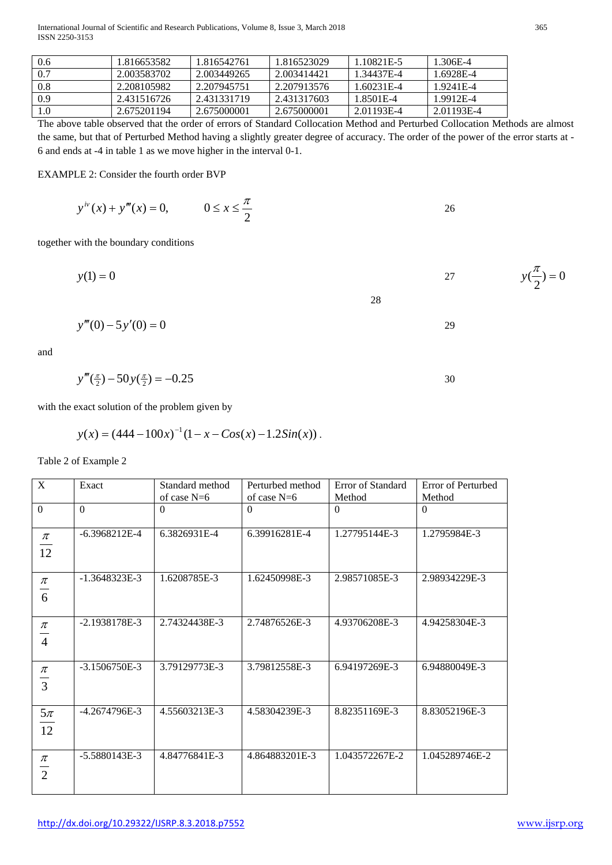| 0.6 | 1.816653582 | 1.816542761 | 1.816523029 | 1.10821E-5 | 1.306E-4   |
|-----|-------------|-------------|-------------|------------|------------|
| 0.7 | 2.003583702 | 2.003449265 | 2.003414421 | 1.34437E-4 | 1.6928E-4  |
| 0.8 | 2.208105982 | 2.207945751 | 2.207913576 | 1.60231E-4 | 1.9241E-4  |
| 0.9 | 2.431516726 | 2.431331719 | 2.431317603 | 1.8501E-4  | 1.9912E-4  |
| 1.0 | 2.675201194 | 2.675000001 | 2.675000001 | 2.01193E-4 | 2.01193E-4 |

The above table observed that the order of errors of Standard Collocation Method and Perturbed Collocation Methods are almost the same, but that of Perturbed Method having a slightly greater degree of accuracy. The order of the power of the error starts at - 6 and ends at -4 in table 1 as we move higher in the interval 0-1.

EXAMPLE 2: Consider the fourth order BVP

$$
y^{iv}(x) + y'''(x) = 0, \qquad 0 \le x \le \frac{\pi}{2}
$$

together with the boundary conditions

$$
y(1) = 0
$$
  $27$   $y(\frac{\pi}{2}) = 0$ 

$$
y'''(0) - 5y'(0) = 0
$$

and

$$
y'''(\tfrac{\pi}{2}) - 50y(\tfrac{\pi}{2}) = -0.25
$$

with the exact solution of the problem given by

$$
y(x) = (444 - 100x)^{-1}(1 - x - Cos(x) - 1.2Sin(x)).
$$

# Table 2 of Example 2

| X                       | Exact           | Standard method | Perturbed method | Error of Standard | Error of Perturbed |
|-------------------------|-----------------|-----------------|------------------|-------------------|--------------------|
|                         |                 | of case $N=6$   | of case $N=6$    | Method            | Method             |
| $\Omega$                | $\Omega$        | $\Omega$        | $\Omega$         | $\theta$          | $\Omega$           |
| $\pi$<br>12             | $-6.3968212E-4$ | 6.3826931E-4    | 6.39916281E-4    | 1.27795144E-3     | 1.2795984E-3       |
| $\pi$<br>6              | $-1.3648323E-3$ | 1.6208785E-3    | 1.62450998E-3    | 2.98571085E-3     | 2.98934229E-3      |
| $\pi$<br>$\overline{4}$ | $-2.1938178E-3$ | 2.74324438E-3   | 2.74876526E-3    | 4.93706208E-3     | 4.94258304E-3      |
| $\pi$<br>$\frac{1}{3}$  | $-3.1506750E-3$ | 3.79129773E-3   | 3.79812558E-3    | 6.94197269E-3     | 6.94880049E-3      |
| $5\pi$<br>12            | -4.2674796E-3   | 4.55603213E-3   | 4.58304239E-3    | 8.82351169E-3     | 8.83052196E-3      |
| $\pi$<br>$\overline{2}$ | $-5.5880143E-3$ | 4.84776841E-3   | 4.864883201E-3   | 1.043572267E-2    | 1.045289746E-2     |

2  $y(\frac{\pi}{e}) =$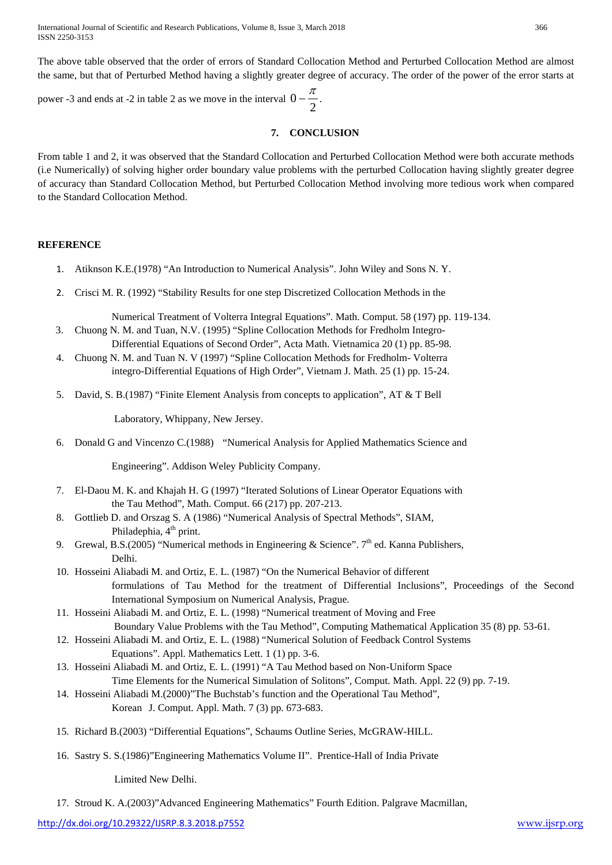The above table observed that the order of errors of Standard Collocation Method and Perturbed Collocation Method are almost the same, but that of Perturbed Method having a slightly greater degree of accuracy. The order of the power of the error starts at

power -3 and ends at -2 in table 2 as we move in the interval  $0 - \frac{2}{2}$  $0-\frac{\pi}{2}$ .

## **7. CONCLUSION**

From table 1 and 2, it was observed that the Standard Collocation and Perturbed Collocation Method were both accurate methods (i.e Numerically) of solving higher order boundary value problems with the perturbed Collocation having slightly greater degree of accuracy than Standard Collocation Method, but Perturbed Collocation Method involving more tedious work when compared to the Standard Collocation Method.

## **REFERENCE**

- 1. Atiknson K.E.(1978) "An Introduction to Numerical Analysis". John Wiley and Sons N. Y.
- 2. Crisci M. R. (1992) "Stability Results for one step Discretized Collocation Methods in the

Numerical Treatment of Volterra Integral Equations". Math. Comput. 58 (197) pp. 119-134.

- 3. Chuong N. M. and Tuan, N.V. (1995) "Spline Collocation Methods for Fredholm Integro-Differential Equations of Second Order", Acta Math. Vietnamica 20 (1) pp. 85-98.
- 4. Chuong N. M. and Tuan N. V (1997) "Spline Collocation Methods for Fredholm- Volterra integro-Differential Equations of High Order", Vietnam J. Math. 25 (1) pp. 15-24.
- 5. David, S. B.(1987) "Finite Element Analysis from concepts to application", AT & T Bell

Laboratory, Whippany, New Jersey.

6. Donald G and Vincenzo C.(1988) "Numerical Analysis for Applied Mathematics Science and

Engineering". Addison Weley Publicity Company.

- 7. El-Daou M. K. and Khajah H. G (1997) "Iterated Solutions of Linear Operator Equations with the Tau Method", Math. Comput. 66 (217) pp. 207-213.
- 8. Gottlieb D. and Orszag S. A (1986) "Numerical Analysis of Spectral Methods", SIAM, Philadephia, 4<sup>th</sup> print.
- 9. Grewal, B.S.(2005) "Numerical methods in Engineering & Science".  $7<sup>th</sup>$  ed. Kanna Publishers, Delhi.
- 10. Hosseini Aliabadi M. and Ortiz, E. L. (1987) "On the Numerical Behavior of different formulations of Tau Method for the treatment of Differential Inclusions", Proceedings of the Second International Symposium on Numerical Analysis, Prague.
- 11. Hosseini Aliabadi M. and Ortiz, E. L. (1998) "Numerical treatment of Moving and Free Boundary Value Problems with the Tau Method", Computing Mathematical Application 35 (8) pp. 53-61.
- 12. Hosseini Aliabadi M. and Ortiz, E. L. (1988) "Numerical Solution of Feedback Control Systems Equations". Appl. Mathematics Lett. 1 (1) pp. 3-6.
- 13. Hosseini Aliabadi M. and Ortiz, E. L. (1991) "A Tau Method based on Non-Uniform Space Time Elements for the Numerical Simulation of Solitons", Comput. Math. Appl. 22 (9) pp. 7-19.
- 14. Hosseini Aliabadi M.(2000)"The Buchstab's function and the Operational Tau Method", Korean J. Comput. Appl. Math. 7 (3) pp. 673-683.
- 15. Richard B.(2003) "Differential Equations", Schaums Outline Series, McGRAW-HILL.
- 16. Sastry S. S.(1986)"Engineering Mathematics Volume II". Prentice-Hall of India Private

Limited New Delhi.

17. Stroud K. A.(2003)"Advanced Engineering Mathematics" Fourth Edition. Palgrave Macmillan,